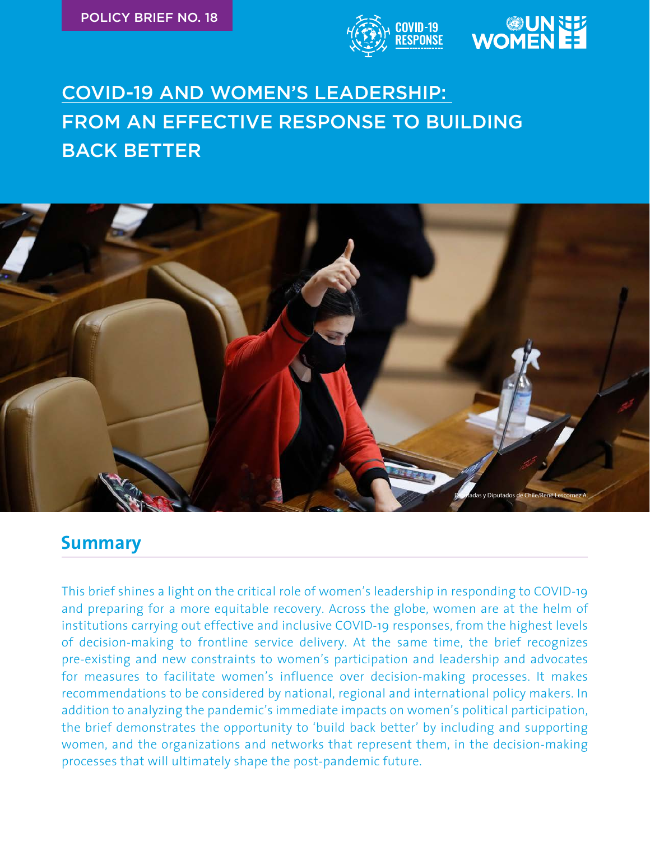



## COVID-19 AND WOMEN'S LEADERSHIP: FROM AN EFFECTIVE RESPONSE TO BUILDING BACK BETTER



## **Summary**

This brief shines a light on the critical role of women's leadership in responding to COVID-19 and preparing for a more equitable recovery. Across the globe, women are at the helm of institutions carrying out effective and inclusive COVID-19 responses, from the highest levels of decision-making to frontline service delivery. At the same time, the brief recognizes pre-existing and new constraints to women's participation and leadership and advocates for measures to facilitate women's influence over decision-making processes. It makes recommendations to be considered by national, regional and international policy makers. In addition to analyzing the pandemic's immediate impacts on women's political participation, the brief demonstrates the opportunity to 'build back better' by including and supporting women, and the organizations and networks that represent them, in the decision-making processes that will ultimately shape the post-pandemic future.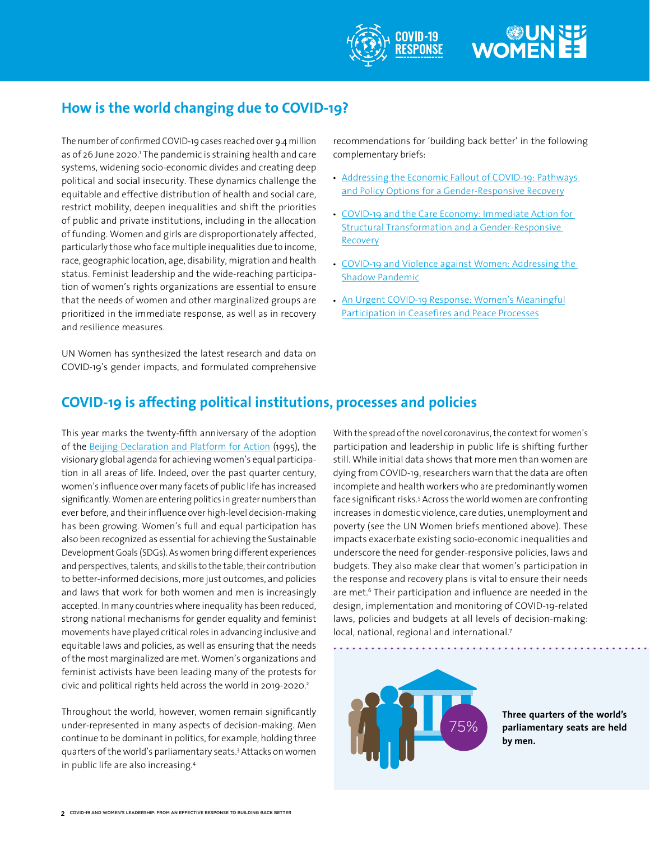## **WOMEN**

## **How is the world changing due to COVID-19?**

The number of confirmed COVID-19 cases reached over 9.4 million as of 26 June 2020.' The pandemic is straining health and care systems, widening socio-economic divides and creating deep political and social insecurity. These dynamics challenge the equitable and effective distribution of health and social care, restrict mobility, deepen inequalities and shift the priorities of public and private institutions, including in the allocation of funding. Women and girls are disproportionately affected, particularly those who face multiple inequalities due to income, race, geographic location, age, disability, migration and health status. Feminist leadership and the wide-reaching participation of women's rights organizations are essential to ensure that the needs of women and other marginalized groups are prioritized in the immediate response, as well as in recovery and resilience measures.

UN Women has synthesized the latest research and data on COVID-19's gender impacts, and formulated comprehensive recommendations for 'building back better' in the following complementary briefs:

- [Addressing the Economic Fallout of COVID-19: Pathways](https://www.unwomen.org/en/digital-library/publications/2020/06/policy-brief-addressing-the-economic-fallout-of-covid-19) [and Policy Options for a Gender-Responsive Recovery](https://www.unwomen.org/en/digital-library/publications/2020/06/policy-brief-addressing-the-economic-fallout-of-covid-19)
- [COVID-19 and the Care Economy: Immediate Action for](https://www.unwomen.org/en/digital-library/publications/2020/06/policy-brief-covid-19-and-the-care-economy) **[Structural Transformation and a Gender-Responsive](https://www.unwomen.org/en/digital-library/publications/2020/06/policy-brief-covid-19-and-the-care-economy)** [Recovery](https://www.unwomen.org/en/digital-library/publications/2020/06/policy-brief-covid-19-and-the-care-economy)
- [COVID-19 and Violence against Women: Addressing the](https://www.unwomen.org/en/digital-library/publications/2020/06/policy-brief-covid-19-and-violence-against-women-and-girls-addressing-the-shadow-pandemic) [Shadow Pandemic](https://www.unwomen.org/en/digital-library/publications/2020/06/policy-brief-covid-19-and-violence-against-women-and-girls-addressing-the-shadow-pandemic)
- [An Urgent COVID-19 Response: Women's Meaningful](https://www.unwomen.org/en/digital-library/publications/2020/08/policy-brief-covid-19-and-conflict) Participation in Ceasefires and Peace Processes

## **COVID-19 is affecting political institutions, processes and policies**

This year marks the twenty-fifth anniversary of th[e a](https://www.un.org/womenwatch/daw/beijing/fwcwn.html)doption of the [Beijing Declaration and Platform for Action \(1995\)](https://www.unwomen.org/en/digital-library/publications/2015/01/beijing-declaration), the visionary global agenda for achieving women's equal participation in all areas of life. Indeed, over the past quarter century, women's influence over many facets of public life has increased significantly. Women are entering politics in greater numbers than ever before, and their influence over high-level decision-making has been growing. Women's full and equal participation has also been recognized as essential for achieving the Sustainable Development Goals (SDGs). As women bring different experiences and perspectives, talents, and skills to the table, their contribution to better-informed decisions, more just outcomes, and policies and laws that work for both women and men is increasingly accepted. In many countries where inequality has been reduced, strong national mechanisms for gender equality and feminist movements have played critical roles in advancing inclusive and equitable laws and policies, as well as ensuring that the needs of the most marginalized are met. Women's organizations and feminist activists have been leading many of the protests for civic and political rights held across the world in 2019-2020.<sup>2</sup>

Throughout the world, however, women remain significantly under-represented in many aspects of decision-making. Men continue to be dominant in politics, for example, holding three quarters of the world's parliamentary seats.3 Attacks on women in public life are also increasing.<sup>4</sup>

With the spread of the novel coronavirus, the context for women's participation and leadership in public life is shifting further still. While initial data shows that more men than women are dying from COVID-19, researchers warn that the data are often incomplete and health workers who are predominantly women face significant risks.<sup>5</sup> Across the world women are confronting increases in domestic violence, care duties, unemployment and poverty (see the UN Women briefs mentioned above). These impacts exacerbate existing socio-economic inequalities and underscore the need for gender-responsive policies, laws and budgets. They also make clear that women's participation in the response and recovery plans is vital to ensure their needs are met.<sup>6</sup> Their participation and influence are needed in the design, implementation and monitoring of COVID-19-related laws, policies and budgets at all levels of decision-making: local, national, regional and international.<sup>7</sup>



**Three quarters of the world's parliamentary seats are held by men.**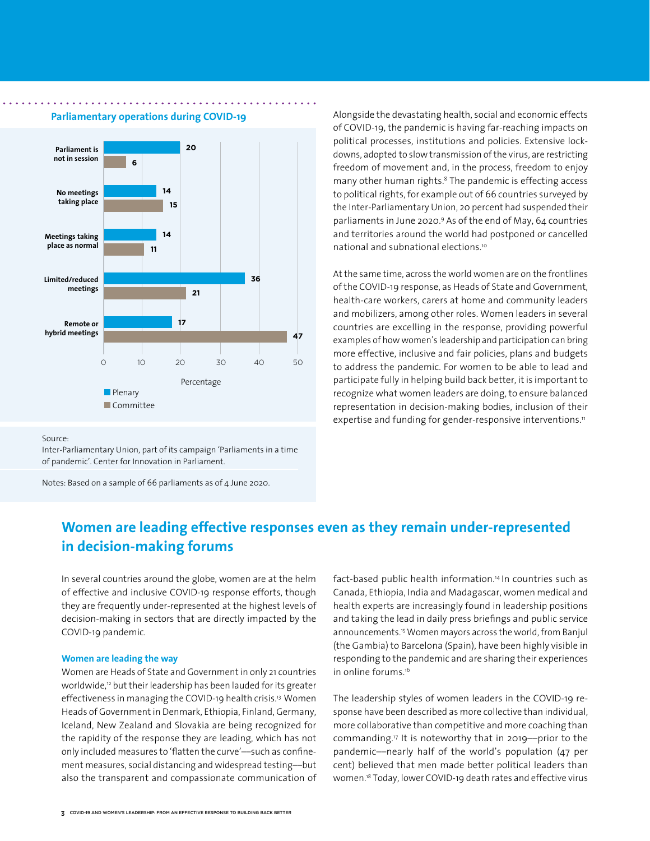

**Parliamentary operations during COVID-19**

Alongside the devastating health, social and economic effects of COVID-19, the pandemic is having far-reaching impacts on political processes, institutions and policies. Extensive lockdowns, adopted to slow transmission of the virus, are restricting freedom of movement and, in the process, freedom to enjoy many other human rights.<sup>8</sup> The pandemic is effecting access to political rights, for example out of 66 countries surveyed by the Inter-Parliamentary Union, 20 percent had suspended their parliaments in June 2020.9 As of the end of May, 64 countries and territories around the world had postponed or cancelled national and subnational elections.10

At the same time, across the world women are on the frontlines of the COVID-19 response, as Heads of State and Government, health-care workers, carers at home and community leaders and mobilizers, among other roles. Women leaders in several countries are excelling in the response, providing powerful examples of how women's leadership and participation can bring more effective, inclusive and fair policies, plans and budgets to address the pandemic. For women to be able to lead and participate fully in helping build back better, it is important to recognize what women leaders are doing, to ensure balanced representation in decision-making bodies, inclusion of their expertise and funding for gender-responsive interventions.<sup>11</sup>

#### Source:

Inter-Parliamentary Union, part of its campaign 'Parliaments in a time of pandemic'. Center for Innovation in Parliament.

Notes: Based on a sample of 66 parliaments as of 4 June 2020.

## **Women are leading effective responses even as they remain under-represented in decision-making forums**

In several countries around the globe, women are at the helm of effective and inclusive COVID-19 response efforts, though they are frequently under-represented at the highest levels of decision-making in sectors that are directly impacted by the COVID-19 pandemic.

#### **Women are leading the way**

Women are Heads of State and Government in only 21 countries worldwide,<sup>12</sup> but their leadership has been lauded for its greater effectiveness in managing the COVID-19 health crisis.<sup>13</sup> Women Heads of Government in Denmark, Ethiopia, Finland, Germany, Iceland, New Zealand and Slovakia are being recognized for the rapidity of the response they are leading, which has not only included measures to 'flatten the curve'––such as confinement measures, social distancing and widespread testing––but also the transparent and compassionate communication of fact-based public health information.<sup>14</sup>In countries such as Canada, Ethiopia, India and Madagascar, women medical and health experts are increasingly found in leadership positions and taking the lead in daily press briefings and public service announcements.15 Women mayors across the world, from Banjul (the Gambia) to Barcelona (Spain), have been highly visible in responding to the pandemic and are sharing their experiences in online forums.<sup>16</sup>

The leadership styles of women leaders in the COVID-19 response have been described as more collective than individual, more collaborative than competitive and more coaching than commanding.17 It is noteworthy that in 2019––prior to the pandemic––nearly half of the world's population (47 per cent) believed that men made better political leaders than women.<sup>18</sup> Today, lower COVID-19 death rates and effective virus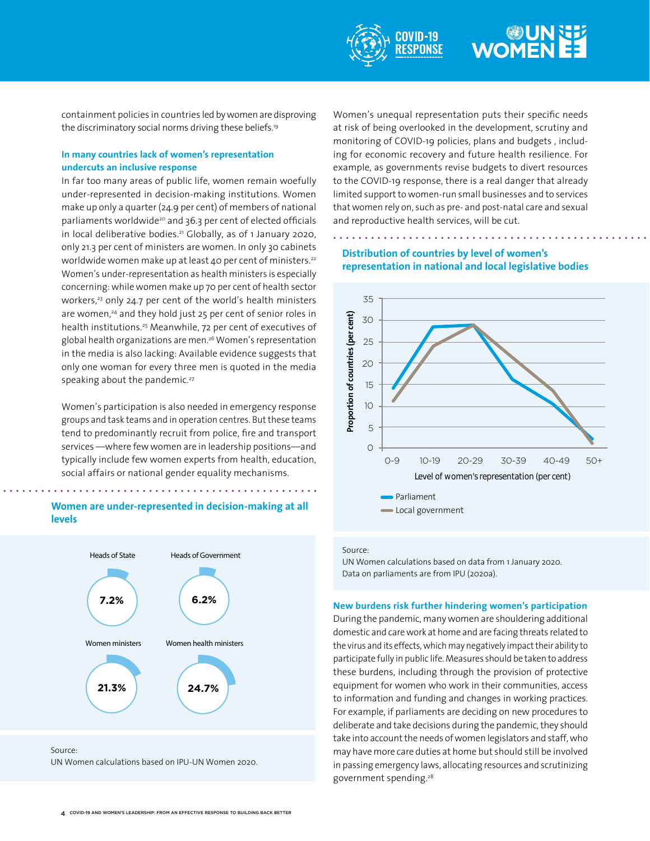

## **WOMEN**

containment policies in countries led by women are disproving the discriminatory social norms driving these beliefs.19

### **In many countries lack of women's representation undercuts an inclusive response**

In far too many areas of public life, women remain woefully under-represented in decision-making institutions. Women make up only a quarter (24.9 per cent) of members of national parliaments worldwide<sup>20</sup> and 36.3 per cent of elected officials in local deliberative bodies.<sup>21</sup> Globally, as of 1 January 2020, only 21.3 per cent of ministers are women. In only 30 cabinets worldwide women make up at least 40 per cent of ministers.<sup>22</sup> Women's under-representation as health ministers is especially concerning: while women make up 70 per cent of health sector workers,<sup>23</sup> only 24.7 per cent of the world's health ministers are women,<sup>24</sup> and they hold just 25 per cent of senior roles in health institutions.<sup>25</sup> Meanwhile, 72 per cent of executives of global health organizations are men.26 Women's representation in the media is also lacking: Available evidence suggests that only one woman for every three men is quoted in the media speaking about the pandemic.<sup>27</sup>

Women's participation is also needed in emergency response groups and task teams and in operation centres. But these teams tend to predominantly recruit from police, fire and transport services ––where few women are in leadership positions––and typically include few women experts from health, education, social affairs or national gender equality mechanisms.

### **Women are under-represented in decision-making at all levels**



Source: UN Women calculations based on IPU-UN Women 2020.

Women's unequal representation puts their specific needs at risk of being overlooked in the development, scrutiny and monitoring of COVID-19 policies, plans and budgets , including for economic recovery and future health resilience. For example, as governments revise budgets to divert resources to the COVID-19 response, there is a real danger that already limited support to women-run small businesses and to services that women rely on, such as pre- and post-natal care and sexual and reproductive health services, will be cut.

### **Distribution of countries by level of women's representation in national and local legislative bodies**



Source:

#### **New burdens risk further hindering women's participation**

During the pandemic, many women are shouldering additional domestic and care work at home and are facing threats related to the virus and its effects, which may negatively impact their ability to participate fully in public life. Measures should be taken to address these burdens, including through the provision of protective equipment for women who work in their communities, access to information and funding and changes in working practices. For example, if parliaments are deciding on new procedures to deliberate and take decisions during the pandemic, they should take into account the needs of women legislators and staff, who may have more care duties at home but should still be involved in passing emergency laws, allocating resources and scrutinizing government spending.28

UN Women calculations based on data from 1 January 2020. Data on parliaments are from IPU (2020a).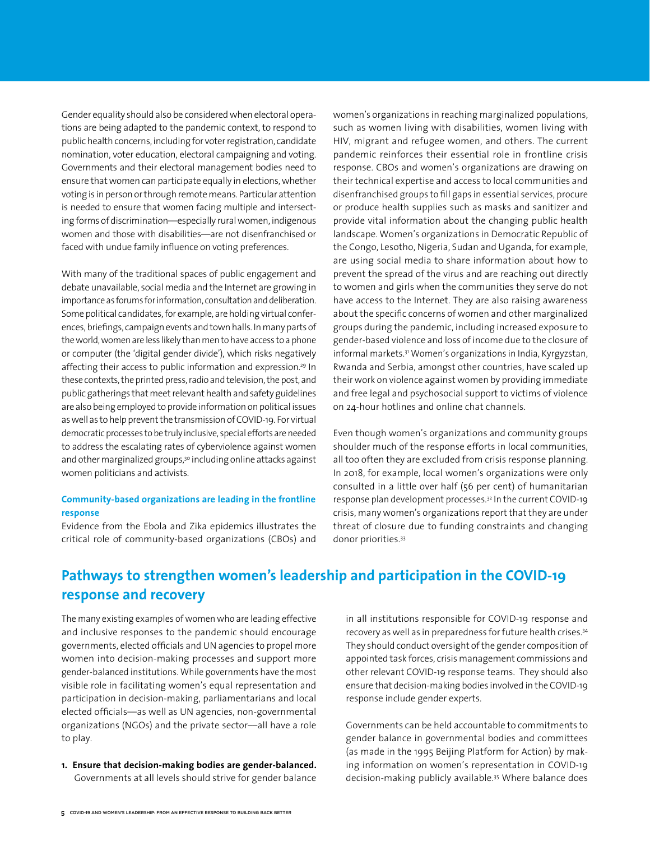Gender equality should also be considered when electoral operations are being adapted to the pandemic context, to respond to public health concerns, including for voter registration, candidate nomination, voter education, electoral campaigning and voting. Governments and their electoral management bodies need to ensure that women can participate equally in elections, whether voting is in person or through remote means. Particular attention is needed to ensure that women facing multiple and intersecting forms of discrimination––especially rural women, indigenous women and those with disabilities––are not disenfranchised or faced with undue family influence on voting preferences.

With many of the traditional spaces of public engagement and debate unavailable, social media and the Internet are growing in importance as forums for information, consultation and deliberation. Some political candidates, for example, are holding virtual conferences, briefings, campaign events and town halls. In many parts of the world, women are less likely than men to have access to a phone or computer (the 'digital gender divide'), which risks negatively affecting their access to public information and expression.<sup>29</sup> In these contexts, the printed press, radio and television, the post, and public gatherings that meet relevant health and safety guidelines are also being employed to provide information on political issues as well as to help prevent the transmission of COVID-19. For virtual democratic processes to be truly inclusive, special efforts are needed to address the escalating rates of cyberviolence against women and other marginalized groups,<sup>30</sup> including online attacks against women politicians and activists.

#### **Community-based organizations are leading in the frontline response**

Evidence from the Ebola and Zika epidemics illustrates the critical role of community-based organizations (CBOs) and women's organizations in reaching marginalized populations, such as women living with disabilities, women living with HIV, migrant and refugee women, and others. The current pandemic reinforces their essential role in frontline crisis response. CBOs and women's organizations are drawing on their technical expertise and access to local communities and disenfranchised groups to fill gaps in essential services, procure or produce health supplies such as masks and sanitizer and provide vital information about the changing public health landscape. Women's organizations in Democratic Republic of the Congo, Lesotho, Nigeria, Sudan and Uganda, for example, are using social media to share information about how to prevent the spread of the virus and are reaching out directly to women and girls when the communities they serve do not have access to the Internet. They are also raising awareness about the specific concerns of women and other marginalized groups during the pandemic, including increased exposure to gender-based violence and loss of income due to the closure of informal markets.31 Women's organizations in India, Kyrgyzstan, Rwanda and Serbia, amongst other countries, have scaled up their work on violence against women by providing immediate and free legal and psychosocial support to victims of violence on 24-hour hotlines and online chat channels.

Even though women's organizations and community groups shoulder much of the response efforts in local communities, all too often they are excluded from crisis response planning. In 2018, for example, local women's organizations were only consulted in a little over half (56 per cent) of humanitarian response plan development processes.32 In the current COVID-19 crisis, many women's organizations report that they are under threat of closure due to funding constraints and changing donor priorities.33

## **Pathways to strengthen women's leadership and participation in the COVID-19 response and recovery**

The many existing examples of women who are leading effective and inclusive responses to the pandemic should encourage governments, elected officials and UN agencies to propel more women into decision-making processes and support more gender-balanced institutions. While governments have the most visible role in facilitating women's equal representation and participation in decision-making, parliamentarians and local elected officials––as well as UN agencies, non-governmental organizations (NGOs) and the private sector––all have a role to play.

**1. Ensure that decision-making bodies are gender-balanced.**  Governments at all levels should strive for gender balance

in all institutions responsible for COVID-19 response and recovery as well as in preparedness for future health crises.<sup>34</sup> They should conduct oversight of the gender composition of appointed task forces, crisis management commissions and other relevant COVID-19 response teams. They should also ensure that decision-making bodies involved in the COVID-19 response include gender experts.

Governments can be held accountable to commitments to gender balance in governmental bodies and committees (as made in the 1995 Beijing Platform for Action) by making information on women's representation in COVID-19 decision-making publicly available.<sup>35</sup> Where balance does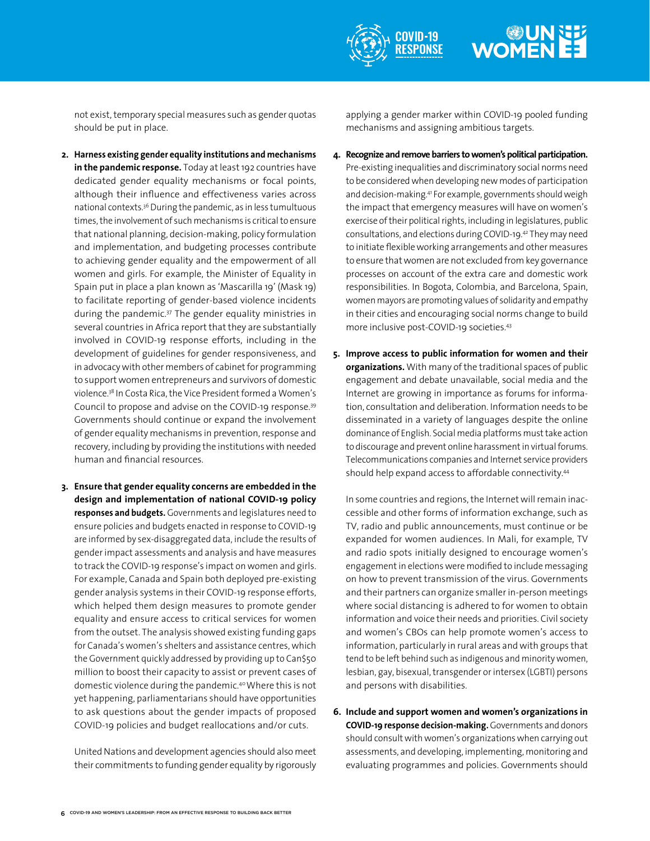

## WOMEN EE

not exist, temporary special measures such as gender quotas should be put in place.

- **2. Harness existing gender equality institutions and mechanisms in the pandemic response.** Today at least 192 countries have dedicated gender equality mechanisms or focal points, although their influence and effectiveness varies across national contexts.36 During the pandemic, as in less tumultuous times, the involvement of such mechanisms is critical to ensure that national planning, decision-making, policy formulation and implementation, and budgeting processes contribute to achieving gender equality and the empowerment of all women and girls. For example, the Minister of Equality in Spain put in place a plan known as 'Mascarilla 19' (Mask 19) to facilitate reporting of gender-based violence incidents during the pandemic.37 The gender equality ministries in several countries in Africa report that they are substantially involved in COVID-19 response efforts, including in the development of guidelines for gender responsiveness, and in advocacy with other members of cabinet for programming to support women entrepreneurs and survivors of domestic violence.38 In Costa Rica, the Vice President formed a Women's Council to propose and advise on the COVID-19 response.39 Governments should continue or expand the involvement of gender equality mechanisms in prevention, response and recovery, including by providing the institutions with needed human and financial resources.
- **3. Ensure that gender equality concerns are embedded in the design and implementation of national COVID-19 policy responses and budgets.** Governments and legislatures need to ensure policies and budgets enacted in response to COVID-19 are informed by sex-disaggregated data, include the results of gender impact assessments and analysis and have measures to track the COVID-19 response's impact on women and girls. For example, Canada and Spain both deployed pre-existing gender analysis systems in their COVID-19 response efforts, which helped them design measures to promote gender equality and ensure access to critical services for women from the outset. The analysis showed existing funding gaps for Canada's women's shelters and assistance centres, which the Government quickly addressed by providing up to Can\$50 million to boost their capacity to assist or prevent cases of domestic violence during the pandemic.<sup>40</sup>Where this is not yet happening, parliamentarians should have opportunities to ask questions about the gender impacts of proposed COVID-19 policies and budget reallocations and/or cuts.

United Nations and development agencies should also meet their commitments to funding gender equality by rigorously applying a gender marker within COVID-19 pooled funding mechanisms and assigning ambitious targets.

- **4. Recognize and remove barriers to women's political participation.** Pre-existing inequalities and discriminatory social norms need to be considered when developing new modes of participation and decision-making.<sup>41</sup> For example, governments should weigh the impact that emergency measures will have on women's exercise of their political rights, including in legislatures, public consultations, and elections during COVID-19.<sup>42</sup> They may need to initiate flexible working arrangements and other measures to ensure that women are not excluded from key governance processes on account of the extra care and domestic work responsibilities. In Bogota, Colombia, and Barcelona, Spain, women mayors are promoting values of solidarity and empathy in their cities and encouraging social norms change to build more inclusive post-COVID-19 societies.<sup>43</sup>
- **5. Improve access to public information for women and their organizations.** With many of the traditional spaces of public engagement and debate unavailable, social media and the Internet are growing in importance as forums for information, consultation and deliberation. Information needs to be disseminated in a variety of languages despite the online dominance of English. Social media platforms must take action to discourage and prevent online harassment in virtual forums. Telecommunications companies and Internet service providers should help expand access to affordable connectivity.<sup>44</sup>

In some countries and regions, the Internet will remain inaccessible and other forms of information exchange, such as TV, radio and public announcements, must continue or be expanded for women audiences. In Mali, for example, TV and radio spots initially designed to encourage women's engagement in elections were modified to include messaging on how to prevent transmission of the virus. Governments and their partners can organize smaller in-person meetings where social distancing is adhered to for women to obtain information and voice their needs and priorities. Civil society and women's CBOs can help promote women's access to information, particularly in rural areas and with groups that tend to be left behind such as indigenous and minority women, lesbian, gay, bisexual, transgender or intersex (LGBTI) persons and persons with disabilities.

**6. Include and support women and women's organizations in COVID-19 response decision-making.** Governments and donors should consult with women's organizations when carrying out assessments, and developing, implementing, monitoring and evaluating programmes and policies. Governments should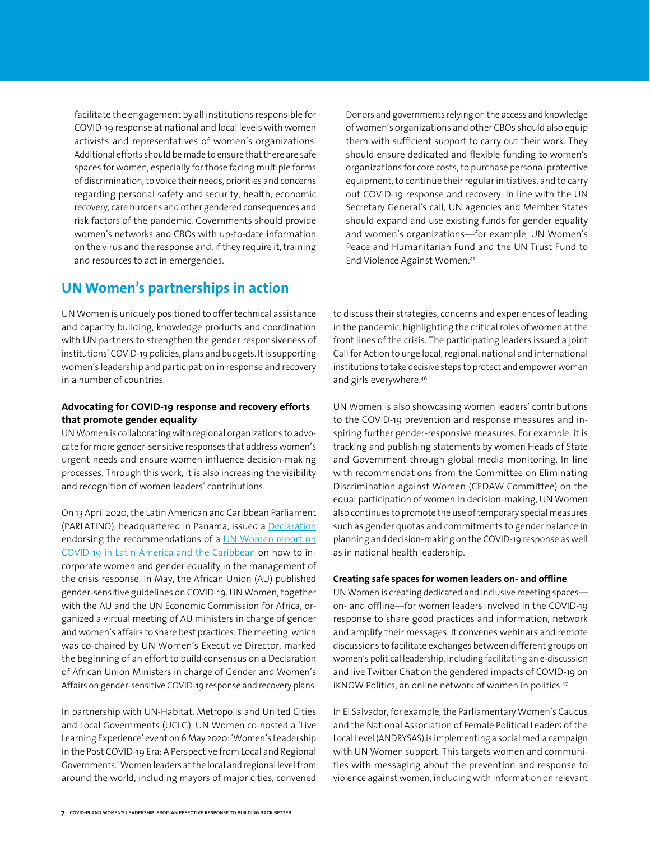facilitate the engagement by all institutions responsible for COVID-19 response at national and local levels with women activists and representatives of women's organizations. Additional efforts should be made to ensure that there are safe spaces for women, especially for those facing multiple forms of discrimination, to voice their needs, priorities and concerns regarding personal safety and security, health, economic recovery, care burdens and other gendered consequences and risk factors of the pandemic. Governments should provide women's networks and CBOs with up-to-date information on the virus and the response and, if they require it, training and resources to act in emergencies.

Donors and governments relying on the access and knowledge of women's organizations and other CBOs should also equip them with sufficient support to carry out their work. They should ensure dedicated and flexible funding to women's organizations for core costs, to purchase personal protective equipment, to continue their regular initiatives, and to carry out COVID-19 response and recovery. In line with the UN Secretary General's call, UN agencies and Member States should expand and use existing funds for gender equality and women's organizations-for example, UN Women's Peace and Humanitarian Fund and the UN Trust Fund to End Violence Against Women.<sup>45</sup>

### **UN Women's partnerships in action**

UN Women is uniquely positioned to offer technical assistance and capacity building, knowledge products and coordination with UN partners to strengthen the gender responsiveness of institutions' COVID-19 policies, plans and budgets. It is supporting women's leadership and participation in response and recovery in a number of countries.

#### **Advocating for COVID-19 response and recovery efforts that promote gender equality**

UN Women is collaborating with regional organizations to advocate for more gender-sensitive responses that address women's urgent needs and ensure women influence decision-making processes. Through this work, it is also increasing the visibility and recognition of women leaders' contributions.

On 13 April 2020, the Latin American and Caribbean Parliament (PARLATINO), headquartered in Panama, issued a [Declaration](http://www.laverdadpanama.com.pa/parlatino-se-pronuncia-para-que-se-atienda-necesidades-de-mujeres/) endorsing the recommendations of a [UN Women report on](https://lac.unwomen.org/en/digiteca/publicaciones/2020/03/covid-como-incorporar-a-las-mujeres-y-la-igualdad-de-genero-en-la-gestion-de-respuesta)  [COVID-19 in Latin America and the Caribbean](https://lac.unwomen.org/en/digiteca/publicaciones/2020/03/covid-como-incorporar-a-las-mujeres-y-la-igualdad-de-genero-en-la-gestion-de-respuesta) on how to incorporate women and gender equality in the management of the crisis response. In May, the African Union (AU) published gender-sensitive guidelines on COVID-19. UN Women, together with the AU and the UN Economic Commission for Africa, organized a virtual meeting of AU ministers in charge of gender and women's affairs to share best practices. The meeting, which was co-chaired by UN Women's Executive Director, marked the beginning of an effort to build consensus on a Declaration of African Union Ministers in charge of Gender and Women's Affairs on gender-sensitive COVID-19 response and recovery plans.

In partnership with UN-Habitat, Metropolis and United Cities and Local Governments (UCLG), UN Women co-hosted a 'Live Learning Experience' event on 6 May 2020: 'Women's Leadership in the Post COVID-19 Era: A Perspective from Local and Regional Governments.' Women leaders at the local and regional level from around the world, including mayors of major cities, convened

to discuss their strategies, concerns and experiences of leading in the pandemic, highlighting the critical roles of women at the front lines of the crisis. The participating leaders issued a joint Call for Action to urge local, regional, national and international institutions to take decisive steps to protect and empower women and girls everywhere.<sup>46</sup>

UN Women is also showcasing women leaders' contributions to the COVID-19 prevention and response measures and inspiring further gender-responsive measures. For example, it is tracking and publishing statements by women Heads of State and Government through global media monitoring. In line with recommendations from the Committee on Eliminating Discrimination against Women (CEDAW Committee) on the equal participation of women in decision-making, UN Women also continues to promote the use of temporary special measures such as gender quotas and commitments to gender balance in planning and decision-making on the COVID-19 response as well as in national health leadership.

#### **Creating safe spaces for women leaders on- and offline**

UN Women is creating dedicated and inclusive meeting spaces–– on- and offline––for women leaders involved in the COVID-19 response to share good practices and information, network and amplify their messages. It convenes webinars and remote discussions to facilitate exchanges between different groups on women's political leadership, including facilitating an e-discussion and live Twitter Chat on the gendered impacts of COVID-19 on iKNOW Politics, an online network of women in politics.<sup>47</sup>

In El Salvador, for example, the Parliamentary Women's Caucus and the National Association of Female Political Leaders of the Local Level (ANDRYSAS) is implementing a social media campaign with UN Women support. This targets women and communities with messaging about the prevention and response to violence against women, including with information on relevant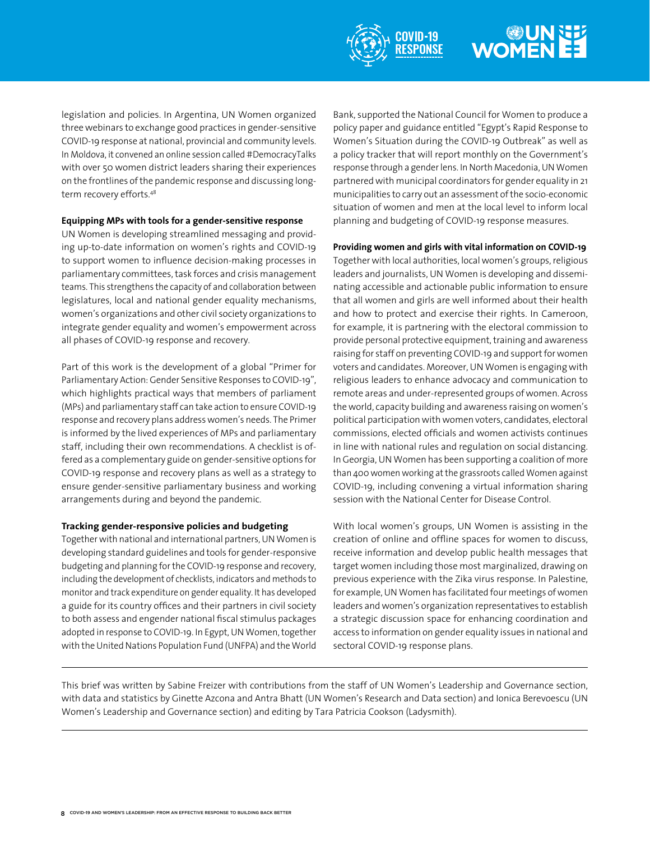

# WOMEN EE

legislation and policies. In Argentina, UN Women organized three webinars to exchange good practices in gender-sensitive COVID-19 response at national, provincial and community levels. In Moldova, it convened an online session called #DemocracyTalks with over 50 women district leaders sharing their experiences on the frontlines of the pandemic response and discussing longterm recovery efforts.<sup>48</sup>

#### **Equipping MPs with tools for a gender-sensitive response**

UN Women is developing streamlined messaging and providing up-to-date information on women's rights and COVID-19 to support women to influence decision-making processes in parliamentary committees, task forces and crisis management teams. This strengthens the capacity of and collaboration between legislatures, local and national gender equality mechanisms, women's organizations and other civil society organizations to integrate gender equality and women's empowerment across all phases of COVID-19 response and recovery.

Part of this work is the development of a global "Primer for Parliamentary Action: Gender Sensitive Responses to COVID-19", which highlights practical ways that members of parliament (MPs) and parliamentary staff can take action to ensure COVID-19 response and recovery plans address women's needs. The Primer is informed by the lived experiences of MPs and parliamentary staff, including their own recommendations. A checklist is offered as a complementary guide on gender-sensitive options for COVID-19 response and recovery plans as well as a strategy to ensure gender-sensitive parliamentary business and working arrangements during and beyond the pandemic.

#### **Tracking gender-responsive policies and budgeting**

Together with national and international partners, UN Women is developing standard guidelines and tools for gender-responsive budgeting and planning for the COVID-19 response and recovery, including the development of checklists, indicators and methods to monitor and track expenditure on gender equality. It has developed a guide for its country offices and their partners in civil society to both assess and engender national fiscal stimulus packages adopted in response to COVID-19. In Egypt, UN Women, together with the United Nations Population Fund (UNFPA) and the World

Bank, supported the National Council for Women to produce a policy paper and guidance entitled "Egypt's Rapid Response to Women's Situation during the COVID-19 Outbreak" as well as a policy tracker that will report monthly on the Government's response through a gender lens. In North Macedonia, UN Women partnered with municipal coordinators for gender equality in 21 municipalities to carry out an assessment of the socio-economic situation of women and men at the local level to inform local planning and budgeting of COVID-19 response measures.

#### **Providing women and girls with vital information on COVID-19**

Together with local authorities, local women's groups, religious leaders and journalists, UN Women is developing and disseminating accessible and actionable public information to ensure that all women and girls are well informed about their health and how to protect and exercise their rights. In Cameroon, for example, it is partnering with the electoral commission to provide personal protective equipment, training and awareness raising for staff on preventing COVID-19 and support for women voters and candidates. Moreover, UN Women is engaging with religious leaders to enhance advocacy and communication to remote areas and under-represented groups of women. Across the world, capacity building and awareness raising on women's political participation with women voters, candidates, electoral commissions, elected officials and women activists continues in line with national rules and regulation on social distancing. In Georgia, UN Women has been supporting a coalition of more than 400 women working at the grassroots called Women against COVID-19, including convening a virtual information sharing session with the National Center for Disease Control.

With local women's groups, UN Women is assisting in the creation of online and offline spaces for women to discuss, receive information and develop public health messages that target women including those most marginalized, drawing on previous experience with the Zika virus response. In Palestine, for example, UN Women has facilitated four meetings of women leaders and women's organization representatives to establish a strategic discussion space for enhancing coordination and access to information on gender equality issues in national and sectoral COVID-19 response plans.

This brief was written by Sabine Freizer with contributions from the staff of UN Women's Leadership and Governance section, with data and statistics by Ginette Azcona and Antra Bhatt (UN Women's Research and Data section) and Ionica Berevoescu (UN Women's Leadership and Governance section) and editing by Tara Patricia Cookson (Ladysmith).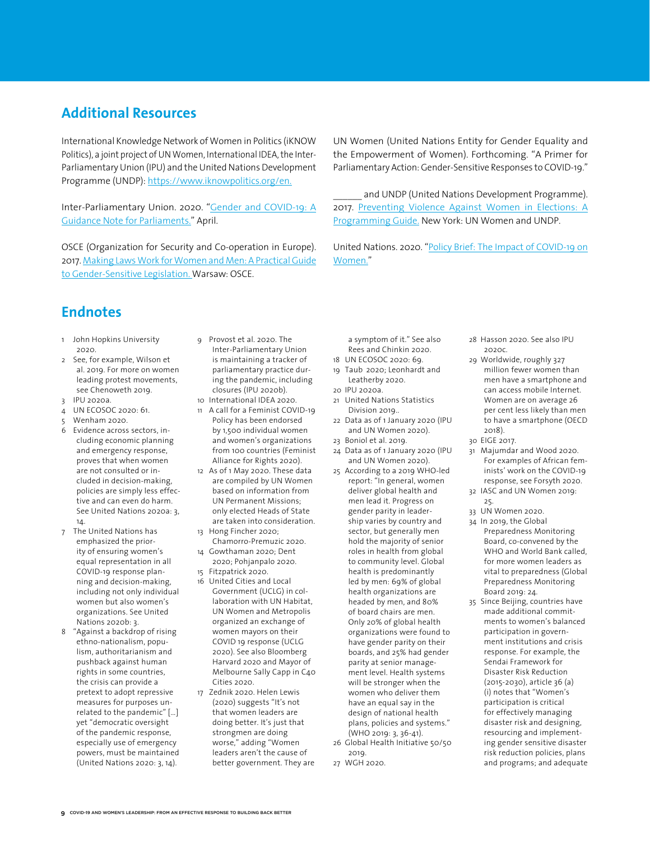### **Additional Resources**

International Knowledge Network of Women in Politics (iKNOW Politics), a joint project of UN Women, International IDEA, the Inter-Parliamentary Union (IPU) and the United Nations Development Programme (UNDP): [https://www.iknowpolitics.org/en.](https://www.iknowpolitics.org/en)

Inter-Parliamentary Union. 2020. ["Gender and COVID-19: A](https://www.ipu.org/gender-and-covid-19-guidance-note-parliaments)  [Guidance Note for Parliaments.](https://www.ipu.org/gender-and-covid-19-guidance-note-parliaments)" April.

OSCE (Organization for Security and Co-operation in Europe). 2017. [Making Laws Work for Women and Men: A Practical Guide](https://www.osce.org/odihr/327836)  [to Gender-Sensitive Legislation.](https://www.osce.org/odihr/327836) Warsaw: OSCE.

UN Women (United Nations Entity for Gender Equality and the Empowerment of Women). Forthcoming. "A Primer for Parliamentary Action: Gender-Sensitive Responses to COVID-19."

and UNDP (United Nations Development Programme). 2017. [Preventing Violence Against Women in Elections: A](https://www.unwomen.org/en/digital-library/publications/2017/11/preventing-violence-against-women-in-elections)  [Programming Guide](https://www.unwomen.org/en/digital-library/publications/2017/11/preventing-violence-against-women-in-elections). New York: UN Women and UNDP.

United Nations. 2020. "[Policy Brief: The Impact of COVID-19 on](https://www.unwomen.org/-/media/headquarters/attachments/sections/library/publications/2020/policy-brief-the-impact-of-covid-19-on-women-en.pdf?la=en&vs=5029)  [Women.](https://www.unwomen.org/-/media/headquarters/attachments/sections/library/publications/2020/policy-brief-the-impact-of-covid-19-on-women-en.pdf?la=en&vs=5029)"

## **Endnotes**

- 1 John Hopkins University 2020.
- 2 See, for example, Wilson et al. 2019. For more on women leading protest movements, see Chenoweth 2019.
- 3 IPU 2020a.
- 4 UN ECOSOC 2020: 61.
- 5 Wenham 2020.
- 6 Evidence across sectors, including economic planning and emergency response, proves that when women are not consulted or included in decision-making, policies are simply less effective and can even do harm. See United Nations 2020a: 3, 14.
- 7 The United Nations has emphasized the priority of ensuring women's equal representation in all COVID-19 response planning and decision-making, including not only individual women but also women's organizations. See United Nations 2020b: 3.
- 8 "Against a backdrop of rising ethno-nationalism, populism, authoritarianism and pushback against human rights in some countries, the crisis can provide a pretext to adopt repressive measures for purposes unrelated to the pandemic" […] yet "democratic oversight of the pandemic response, especially use of emergency powers, must be maintained (United Nations 2020: 3, 14).
- 9 Provost et al. 2020. The Inter-Parliamentary Union is maintaining a tracker of parliamentary practice during the pandemic, including closures (IPU 2020b).
- 10 International IDEA 2020. 11 A call for a Feminist COVID-19
- Policy has been endorsed by 1,500 individual women and women's organizations from 100 countries (Feminist Alliance for Rights 2020).
- 12 As of 1 May 2020. These data are compiled by UN Women based on information from UN Permanent Missions; only elected Heads of State are taken into consideration.
- 13 Hong Fincher 2020; Chamorro-Premuzic 2020. 14 Gowthaman 2020; Dent
- 2020; Pohjanpalo 2020. 15 Fitzpatrick 2020.
- 16 United Cities and Local Government (UCLG) in collaboration with UN Habitat, UN Women and Metropolis organized an exchange of women mayors on their COVID 19 response (UCLG 2020). See also Bloomberg Harvard 2020 and Mayor of Melbourne Sally Capp in C40 Cities 2020
- 17 Zednik 2020. Helen Lewis (2020) suggests "It's not that women leaders are doing better. It's just that strongmen are doing worse," adding "Women leaders aren't the cause of better government. They are

a symptom of it." See also Rees and Chinkin 2020.

- 18 UN ECOSOC 2020: 69.
- 19 Taub 2020; Leonhardt and Leatherby 2020.
- 20 IPU 2020a.
- 21 United Nations Statistics Division 2019..
- 22 Data as of 1 January 2020 (IPU and UN Women 2020).
- 23 Boniol et al. 2019.
- 24 Data as of 1 January 2020 (IPU and UN Women 2020).
- 25 According to a 2019 WHO-led report: "In general, women deliver global health and men lead it. Progress on gender parity in leadership varies by country and sector, but generally men hold the majority of senior roles in health from global to community level. Global health is predominantly led by men: 69% of global health organizations are headed by men, and 80% of board chairs are men. Only 20% of global health organizations were found to have gender parity on their boards, and 25% had gender parity at senior management level. Health systems will be stronger when the women who deliver them have an equal say in the design of national health plans, policies and systems." (WHO 2019: 3, 36-41). 26 Global Health Initiative 50/50
- 2019.
- 27 WGH 2020.
- 28 Hasson 2020. See also IPU 2020c.
- 29 Worldwide, roughly 327 million fewer women than men have a smartphone and can access mobile Internet. Women are on average 26 per cent less likely than men to have a smartphone (OECD 2018).
- 30 EIGE 2017.
- 31 Majumdar and Wood 2020. For examples of African feminists' work on the COVID-19 response, see Forsyth 2020.
- 32 IASC and UN Women 2019: 25.
- 33 UN Women 2020.
- 34 In 2019, the Global Preparedness Monitoring Board, co-convened by the WHO and World Bank called, for more women leaders as vital to preparedness (Global Preparedness Monitoring Board 2019: 24.
- 35 Since Beijing, countries have made additional commitments to women's balanced participation in government institutions and crisis response. For example, the Sendai Framework for Disaster Risk Reduction (2015-2030), article 36 (a) (i) notes that "Women's participation is critical for effectively managing disaster risk and designing, resourcing and implementing gender sensitive disaster risk reduction policies, plans and programs; and adequate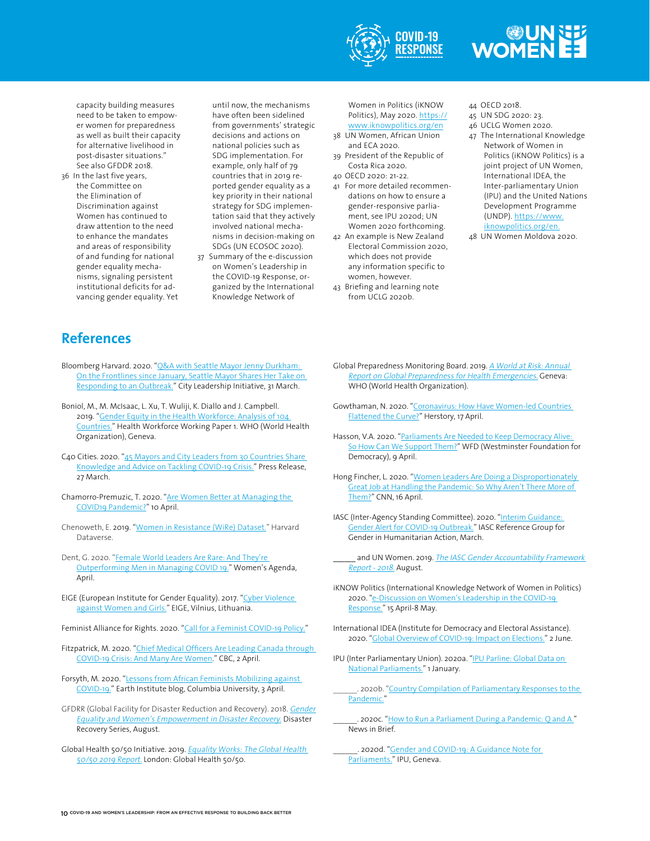

## WOMEN EE

capacity building measures need to be taken to empower women for preparedness as well as built their capacity for alternative livelihood in post-disaster situations." See also GFDDR 2018.

36 In the last five years, the Committee on the Elimination of Discrimination against Women has continued to draw attention to the need to enhance the mandates and areas of responsibility of and funding for national gender equality mechanisms, signaling persistent institutional deficits for advancing gender equality. Yet until now, the mechanisms have often been sidelined from governments' strategic decisions and actions on national policies such as SDG implementation. For example, only half of 79 countries that in 2019 reported gender equality as a key priority in their national strategy for SDG implementation said that they actively involved national mechanisms in decision-making on SDGs (UN ECOSOC 2020).

37 Summary of the e-discussion on Women's Leadership in the COVID-19 Response, organized by the International Knowledge Network of

Women in Politics (iKNOW Politics), May 2020. [https://](https://www.iknowpolitics.org/en) [www.iknowpolitics.org/en](https://www.iknowpolitics.org/en)

- 38 UN Women, African Union and ECA 2020.
- 39 President of the Republic of Costa Rica 2020.
- 40 OECD 2020: 21-22.
- 41 For more detailed recommendations on how to ensure a gender-responsive parliament, see IPU 2020d; UN Women 2020 forthcoming.
- 42 An example is New Zealand Electoral Commission 2020, which does not provide any information specific to women, however.
- 43 Briefing and learning note from UCLG 2020b.

44 OECD 2018.

- 45 UN SDG 2020: 23.
- 46 UCLG Women 2020.
- 47 The International Knowledge Network of Women in Politics (iKNOW Politics) is a joint project of UN Women, International IDEA, the Inter-parliamentary Union (IPU) and the United Nations Development Programme (UNDP). [https://www.](https://www.iknowpolitics.org/en) [iknowpolitics.org/en.](https://www.iknowpolitics.org/en)
- 48 UN Women Moldova 2020.

## **References**

- Bloomberg Harvard. 2020. "Q&A with Seattle Mayor Jenny Durkham: [On the Frontlines since January, Seattle Mayor Shares Her Take on](https://www.cityleadership.harvard.edu/jenny-durkan-qa)  [Responding to an Outbreak.](https://www.cityleadership.harvard.edu/jenny-durkan-qa)" City Leadership Initiative, 31 March.
- Boniol, M., M. McIsaac, L. Xu, T. Wuliji, K. Diallo and J. Campbell. 2019. "[Gender Equity in the Health Workforce: Analysis of 104](https://apps.who.int/iris/bitstream/handle/10665/311314/WHO-HIS-HWF-Gender-WP1-2019.1-eng.pdf)  [Countries](https://apps.who.int/iris/bitstream/handle/10665/311314/WHO-HIS-HWF-Gender-WP1-2019.1-eng.pdf)." Health Workforce Working Paper 1. WHO (World Health Organization), Geneva.
- C40 Cities. 2020. "45 Mayors and City Leaders from 30 Countries Share [Knowledge and Advice on Tackling COVID-19 Crisis](https://c40-production-images.s3.amazonaws.com/press_releases/images/444_Mayoral_COVID-19_webinar_press_release_March_2020.original.pdf?1585325526)." Press Release, 27 March.
- Chamorro-Premuzic, T. 2020. ["Are Women Better at Managing the](https://www.forbes.com/sites/tomaspremuzic/2020/04/10/are-female-leaders-better-at-managing-the-covid19-pandemic/#1a34224128d4)  [COVID19 Pandemic?"](https://www.forbes.com/sites/tomaspremuzic/2020/04/10/are-female-leaders-better-at-managing-the-covid19-pandemic/#1a34224128d4) 10 April.
- Chenoweth, E. 2019. ["Women in Resistance \(WiRe\) Dataset](https://dataverse.harvard.edu/dataset.xhtml?persistentId=doi:10.7910/DVN/BYFJ3Z)." Harvard Dataverse.
- Dent, G. 2020. "[Female World Leaders Are Rare: And They're](https://womensagenda.com.au/latest/female-world-leaders-are-rare-and-theyre-outperforming-men-in-managing-covid19/)  [Outperforming Men in Managing COVID 19.](https://womensagenda.com.au/latest/female-world-leaders-are-rare-and-theyre-outperforming-men-in-managing-covid19/)" Women's Agenda, April.
- EIGE (European Institute for Gender Equality). 2017. ["Cyber Violence](https://eige.europa.eu/publications/cyber-violence-against-women-and-girls)  [against Women and Girls](https://eige.europa.eu/publications/cyber-violence-against-women-and-girls)." EIGE, Vilnius, Lithuania.
- Feminist Alliance for Rights. 2020. "[Call for a Feminist COVID-19 Policy](http://feministallianceforrights.org/blog/2020/03/20/action-call-for-a-feminist-covid-19-policy/)."
- Fitzpatrick, M. 2020. "Chief Medical Officers Are Leading Canada through [COVID-19 Crisis: And Many Are Women](https://www.cbc.ca/news/health/women-chief-medical-officers-canada-1.5518974)." CBC, 2 April.
- Forsyth, M. 2020. "[Lessons from African Feminists Mobilizing against](https://blogs.ei.columbia.edu/2020/04/03/african-feminists-mobilizing-covid-19/)  [COVID-19](https://blogs.ei.columbia.edu/2020/04/03/african-feminists-mobilizing-covid-19/)." Earth Institute blog, Columbia University, 3 April.
- GFDRR (Global Facility for Disaster Reduction and Recovery). 2018. [Gender](https://www.gfdrr.org/sites/default/files/publication/gender-equality-disaster-recovery.PDF)  [Equality and Women's Empowerment in Disaster Recovery](https://www.gfdrr.org/sites/default/files/publication/gender-equality-disaster-recovery.PDF). Disaster Recovery Series, August.
- Global Health 50/50 Initiative. 2019. [Equality Works: The Global Health](https://globalhealth5050.org/wp-content/uploads/2019/03/Equality-Works.pdf)  [50/50 2019 Report.](https://globalhealth5050.org/wp-content/uploads/2019/03/Equality-Works.pdf) London: Global Health 50/50.
- Global Preparedness Monitoring Board. 2019. A World at Risk: Annual [Report on Global Preparedness for Health Emergencies](https://apps.who.int/gpmb/assets/annual_report/GPMB_annualreport_2019.pdf). Geneva: WHO (World Health Organization).
- Gowthaman, N. 2020. ["Coronavirus: How Have Women-led Countries](https://yourstory.com/herstory/2020/04/coronavirus-women-led-countries-flattened-curve)  [Flattened the Curve](https://yourstory.com/herstory/2020/04/coronavirus-women-led-countries-flattened-curve)?" Herstory, 17 April.
- Hasson, V.A. 2020. "Parliaments Are Needed to Keep Democracy Alive: [So How Can We Support Them?"](https://www.wfd.org/2020/04/09/parliaments-are-needed-to-keep-democracies-alive-so-how-can-we-support-them/) WFD (Westminster Foundation for Democracy), 9 April.
- Hong Fincher, L. 2020. "Women Leaders Are Doing a Disproportionately [Great Job at Handling the Pandemic: So Why Aren't There More of](https://edition.cnn.com/2020/04/14/asia/women-government-leaders-coronavirus-hnk-intl/index.html)  [Them?"](https://edition.cnn.com/2020/04/14/asia/women-government-leaders-coronavirus-hnk-intl/index.html) CNN, 16 April.
- IASC (Inter-Agency Standing Committee). 2020. "Interim Guidance: [Gender Alert for COVID-19 Outbreak.](https://interagencystandingcommittee.org/system/files/2020-03/IASC%20Interim%20Guidance%20on%20COVID-19%20-%20Gender%20Alert.pdf)" IASC Reference Group for Gender in Humanitarian Action, March.
- and UN Women. 2019. The IASC Gender Accountability Framework [Report - 2018.](https://reliefweb.int/report/world/iasc-gender-accountability-framework-report-2018) August.
- iKNOW Politics (International Knowledge Network of Women in Politics) 2020. "[e-Discussion on Women's Leadership in the COVID-19](https://www.iknowpolitics.org/en/discuss/e-discussions/e-discussion-women%E2%80%99s-leadership-covid-19-response)  [Response.](https://www.iknowpolitics.org/en/discuss/e-discussions/e-discussion-women%E2%80%99s-leadership-covid-19-response)" 15 April-8 May.
- International IDEA (Institute for Democracy and Electoral Assistance). 2020. "[Global Overview of COVID-19: Impact on Elections.](https://www.idea.int/news-media/multimedia-reports/global-overview-covid-19-impact-elections)" 2 June.
- IPU (Inter Parliamentary Union). 2020a. ["IPU Parline: Global](https://data.ipu.org/) Data on [National Parliaments.](https://data.ipu.org/)" 1 January.

. 2020b. "Country Compilation of Parliamentary Responses to the [Pandemic](https://www.ipu.org/country-compilation-parliamentary-responses-pandemic)."

- . 2020c. "[How to Run a Parliament During a Pandemic: Q and A](https://www.ipu.org/news/news-in-brief/2020-04/how-run-parliament-during-pandemic-q-and)." News in Brief.
	- . 2020d. "Gender and COVID-19: A Guidance Note for [Parliaments.](https://www.ipu.org/gender-and-covid-19-guidance-note-parliaments)" IPU, Geneva.